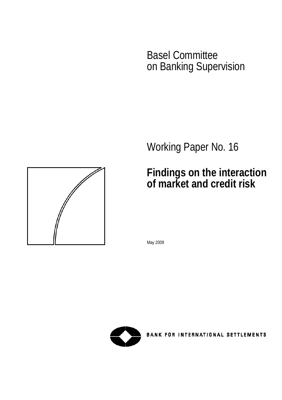Basel Committee on Banking Supervision

Working Paper No. 16

# **Findings on the interaction of market and credit risk**

May 2009



**BANK FOR INTERNATIONAL SETTLEMENTS** 

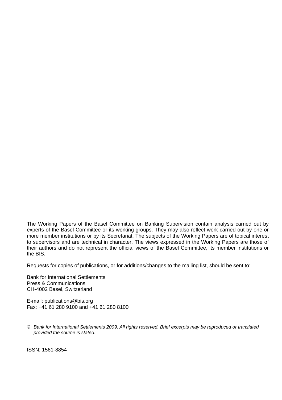The Working Papers of the Basel Committee on Banking Supervision contain analysis carried out by experts of the Basel Committee or its working groups. They may also reflect work carried out by one or more member institutions or by its Secretariat. The subjects of the Working Papers are of topical interest to supervisors and are technical in character. The views expressed in the Working Papers are those of their authors and do not represent the official views of the Basel Committee, its member institutions or the BIS.

Requests for copies of publications, or for additions/changes to the mailing list, should be sent to:

Bank for International Settlements Press & Communications CH-4002 Basel, Switzerland

E-mail: [publications@bis.org](mailto:publications@bis.org) Fax: +41 61 280 9100 and +41 61 280 8100

© *Bank for International Settlements 2009. All rights reserved. Brief excerpts may be reproduced or translated provided the source is stated.* 

ISSN: 1561-8854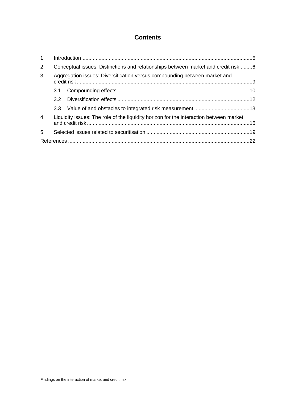# **Contents**

| 1 <sub>1</sub>   |                                                                                        |  |  |  |
|------------------|----------------------------------------------------------------------------------------|--|--|--|
| 2.               | Conceptual issues: Distinctions and relationships between market and credit risk6      |  |  |  |
| 3.               | Aggregation issues: Diversification versus compounding between market and              |  |  |  |
|                  |                                                                                        |  |  |  |
|                  |                                                                                        |  |  |  |
|                  |                                                                                        |  |  |  |
| $\overline{4}$ . | Liquidity issues: The role of the liquidity horizon for the interaction between market |  |  |  |
| 5 <sub>1</sub>   |                                                                                        |  |  |  |
|                  |                                                                                        |  |  |  |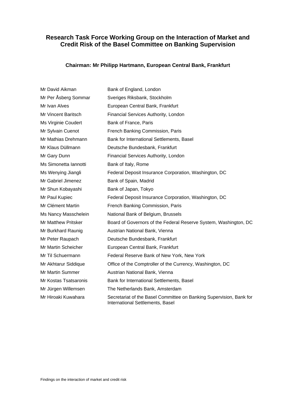# **Research Task Force Working Group on the Interaction of Market and Credit Risk of the Basel Committee on Banking Supervision**

#### **Chairman: Mr Philipp Hartmann, European Central Bank, Frankfurt**

| Mr David Aikman            | Bank of England, London                                                                                 |
|----------------------------|---------------------------------------------------------------------------------------------------------|
| Mr Per Åsberg Sommar       | Sveriges Riksbank, Stockholm                                                                            |
| Mr Ivan Alves              | European Central Bank, Frankfurt                                                                        |
| Mr Vincent Baritsch        | Financial Services Authority, London                                                                    |
| Ms Virginie Coudert        | Bank of France, Paris                                                                                   |
| Mr Sylvain Cuenot          | French Banking Commission, Paris                                                                        |
| Mr Mathias Drehmann        | Bank for International Settlements, Basel                                                               |
| Mr Klaus Düllmann          | Deutsche Bundesbank, Frankfurt                                                                          |
| Mr Gary Dunn               | Financial Services Authority, London                                                                    |
| Ms Simonetta Iannotti      | Bank of Italy, Rome                                                                                     |
| Ms Wenying Jiangli         | Federal Deposit Insurance Corporation, Washington, DC                                                   |
| Mr Gabriel Jimenez         | Bank of Spain, Madrid                                                                                   |
| Mr Shun Kobayashi          | Bank of Japan, Tokyo                                                                                    |
| Mr Paul Kupiec             | Federal Deposit Insurance Corporation, Washington, DC                                                   |
| Mr Clément Martin          | French Banking Commission, Paris                                                                        |
| Ms Nancy Masschelein       | National Bank of Belgium, Brussels                                                                      |
| <b>Mr Matthew Pritsker</b> | Board of Governors of the Federal Reserve System, Washington, DC                                        |
| Mr Burkhard Raunig         | Austrian National Bank, Vienna                                                                          |
| Mr Peter Raupach           | Deutsche Bundesbank, Frankfurt                                                                          |
| Mr Martin Scheicher        | European Central Bank, Frankfurt                                                                        |
| Mr Til Schuermann          | Federal Reserve Bank of New York, New York                                                              |
| Mr Akhtarur Siddique       | Office of the Comptroller of the Currency, Washington, DC                                               |
| Mr Martin Summer           | Austrian National Bank, Vienna                                                                          |
| Mr Kostas Tsatsaronis      | Bank for International Settlements, Basel                                                               |
| Mr Jürgen Willemsen        | The Netherlands Bank, Amsterdam                                                                         |
| Mr Hiroaki Kuwahara        | Secretariat of the Basel Committee on Banking Supervision, Bank for<br>International Settlements, Basel |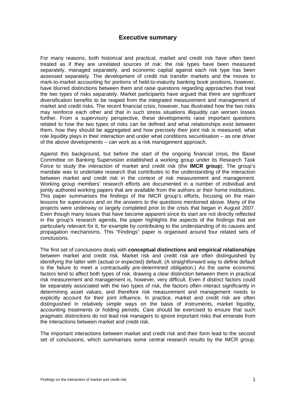# **Executive summary**

For many reasons, both historical and practical, market and credit risk have often been treated as if they are unrelated sources of risk: the risk types have been measured separately, managed separately, and economic capital against each risk type has been assessed separately. The development of credit risk transfer markets and the moves to mark-to-market accounting for portions of held-to-maturity banking book positions, however, have blurred distinctions between them and raise questions regarding approaches that treat the two types of risks separately. Market participants have argued that there are significant diversification benefits to be reaped from the integrated measurement and management of market and credit risks. The recent financial crisis, however, has illustrated how the two risks may reinforce each other and that in such stress situations illiquidity can worsen losses further. From a supervisory perspective, these developments raise important questions related to how the two types of risks can be defined and what relationships exist between them, how they should be aggregated and how precisely their joint risk is measured, what role liquidity plays in their interaction and under what conditions securitisation – as one driver of the above developments – can work as a risk management approach.

Against this background, but before the start of the ongoing financial crisis, the Basel Committee on Banking Supervision established a working group under its Research Task Force to study the interaction of market and credit risk (the **IMCR group**). The group's mandate was to undertake research that contributes to the understanding of the interaction between market and credit risk in the context of risk measurement and management. Working group members' research efforts are documented in a number of individual and jointly authored working papers that are available from the authors or their home institutions. This paper summarises the findings of the IMCR group's efforts, focusing on the main lessons for supervisors and on the answers to the questions mentioned above. Many of the projects were underway or largely completed prior to the crisis that began in August 2007. Even though many issues that have become apparent since its start are not directly reflected in the group's research agenda, the paper highlights the aspects of the findings that are particularly relevant for it, for example by contributing to the understanding of its causes and propagation mechanisms. This "Findings" paper is organised around four related sets of conclusions.

The first set of conclusions deals with **conceptual distinctions and empirical relationships** between market and credit risk. Market risk and credit risk are often distinguished by identifying the latter with (actual or expected) default. (A straightforward way to define default is the failure to meet a contractually pre-determined obligation.) As the same economic factors tend to affect both types of risk, drawing a clear distinction between them in practical risk measurement and management is, however, very difficult. Even if distinct factors could be separately associated with the two types of risk, the factors often interact significantly in determining asset values, and therefore risk measurement and management needs to explicitly account for their joint influence. In practice, market and credit risk are often distinguished in relatively simple ways on the basis of instruments, market liquidity. accounting treatments or holding periods. Care should be exercised to ensure that such pragmatic distinctions do not lead risk managers to ignore important risks that emanate from the interactions between market and credit risk.

The important interactions between market and credit risk and their form lead to the second set of conclusions, which summarises some central research results by the IMCR group.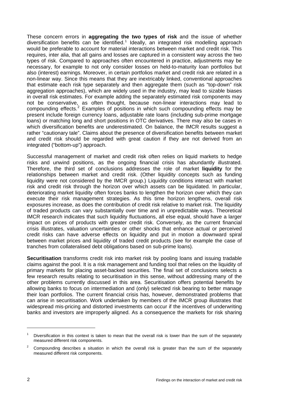These concern errors in **aggregating the two types of risk** and the issue of whether diversification benefits can be identified.<sup>[1](#page-9-0)</sup> Ideally, an integrated risk modelling approach would be preferable to account for material interactions between market and credit risk. This requires, inter alia, that all gains and losses are captured in a consistent way across the two types of risk. Compared to approaches often encountered in practice, adjustments may be necessary, for example to not only consider losses on held-to-maturity loan portfolios but also (interest) earnings. Moreover, in certain portfolios market and credit risk are related in a non-linear way. Since this means that they are inextricably linked, conventional approaches that estimate each risk type separately and then aggregate them (such as "top-down" risk aggregation approaches), which are widely used in the industry, may lead to sizable biases in overall risk estimates. For example adding the separately estimated risk components may not be conservative, as often thought, because non-linear interactions may lead to compounding effects.<sup>[2](#page-9-1)</sup> Examples of positions in which such compounding effects may be present include foreign currency loans, adjustable rate loans (including sub-prime mortgage loans) or matching long and short positions in OTC derivatives. There may also be cases in which diversification benefits are underestimated. On balance, the IMCR results suggest a rather "cautionary tale". Claims about the presence of diversification benefits between market and credit risk should be regarded with great caution if they are not derived from an integrated ("bottom-up") approach.

Successful management of market and credit risk often relies on liquid markets to hedge risks and unwind positions, as the ongoing financial crisis has abundantly illustrated. Therefore, the third set of conclusions addresses the role of market **liquidity** for the relationships between market and credit risk. (Other liquidity concepts such as funding liquidity were not considered by the IMCR group.) Liquidity conditions interact with market risk and credit risk through the horizon over which assets can be liquidated. In particular, deteriorating market liquidity often forces banks to lengthen the horizon over which they can execute their risk management strategies. As this time horizon lengthens, overall risk exposures increase, as does the contribution of credit risk relative to market risk. The liquidity of traded products can vary substantially over time and in unpredictable ways. Theoretical IMCR research indicates that such liquidity fluctuations, all else equal, should have a larger impact on prices of products with greater credit risk. Conversely, as the current financial crisis illustrates, valuation uncertainties or other shocks that enhance actual or perceived credit risks can have adverse effects on liquidity and put in motion a downward spiral between market prices and liquidity of traded credit products (see for example the case of tranches from collateralised debt obligations based on sub-prime loans).

**Securitisation** transforms credit risk into market risk by pooling loans and issuing tradable claims against the pool. It is a risk management and funding tool that relies on the liquidity of primary markets for placing asset-backed securities. The final set of conclusions selects a few research results relating to securitisation in this sense, without addressing many of the other problems currently discussed in this area. Securitisation offers potential benefits by allowing banks to focus on intermediation and (only) selected risk bearing to better manage their loan portfolios. The current financial crisis has, however, demonstrated problems that can arise in securitisation. Work undertaken by members of the IMCR group illustrates that widespread mis-pricing and distorted investments can occur if the incentives of underwriting banks and investors are improperly aligned. As a consequence the markets for risk sharing

<span id="page-9-0"></span><sup>1</sup> Diversification in this context is taken to mean that the overall risk is lower than the sum of the separately measured different risk components.

<span id="page-9-1"></span><sup>2</sup> Compounding describes a situation in which the overall risk is greater than the sum of the separately measured different risk components.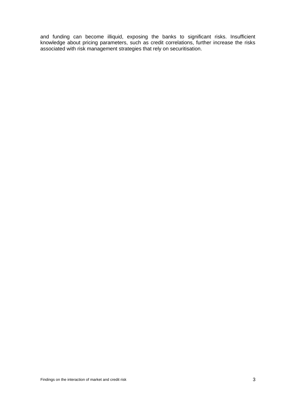and funding can become illiquid, exposing the banks to significant risks. Insufficient knowledge about pricing parameters, such as credit correlations, further increase the risks associated with risk management strategies that rely on securitisation.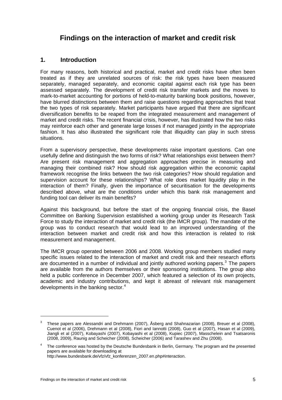# <span id="page-12-0"></span>**Findings on the interaction of market and credit risk**

# **1. Introduction**

For many reasons, both historical and practical, market and credit risks have often been treated as if they are unrelated sources of risk: the risk types have been measured separately, managed separately, and economic capital against each risk type has been assessed separately. The development of credit risk transfer markets and the moves to mark-to-market accounting for portions of held-to-maturity banking book positions, however, have blurred distinctions between them and raise questions regarding approaches that treat the two types of risk separately. Market participants have argued that there are significant diversification benefits to be reaped from the integrated measurement and management of market and credit risks. The recent financial crisis, however, has illustrated how the two risks may reinforce each other and generate large losses if not managed jointly in the appropriate fashion. It has also illustrated the significant role that illiquidity can play in such stress situations.

From a supervisory perspective, these developments raise important questions. Can one usefully define and distinguish the two forms of risk? What relationships exist between them? Are present risk management and aggregation approaches precise in measuring and managing their combined risk? How should risk aggregation within the economic capital framework recognise the links between the two risk categories? How should regulation and supervision account for these relationships? What role does market liquidity play in the interaction of them? Finally, given the importance of securitisation for the developments described above, what are the conditions under which this bank risk management and funding tool can deliver its main benefits?

Against this background, but before the start of the ongoing financial crisis, the Basel Committee on Banking Supervision established a working group under its Research Task Force to study the interaction of market and credit risk (the IMCR group). The mandate of the group was to conduct research that would lead to an improved understanding of the interaction between market and credit risk and how this interaction is related to risk measurement and management.

The IMCR group operated between 2006 and 2008. Working group members studied many specific issues related to the interaction of market and credit risk and their research efforts are documented in a number of individual and jointly authored working papers.<sup>[3](#page-12-1)</sup> The papers are available from the authors themselves or their sponsoring institutions. The group also held a public conference in December 2007, which featured a selection of its own projects, academic and industry contributions, and kept it abreast of relevant risk management developments in the banking sector. $4$ 

 $\overline{a}$ 

<span id="page-12-1"></span><sup>3</sup> These papers are Alessandri and Drehmann (2007), Åsberg and Shahnazarian (2008), Breuer et al (2008), Cuenot et al (2006), Drehmann et al (2008), Fiori and Iannotti (2008), Guo et al (2007), Hasan et al (2009), Jiangli et al (2007), Kobayashi (2007), Kobayashi et al (2008), Kupiec (2007), Masschelein and Tsatsaronis (2008, 2009), Raunig and Scheicher (2008), Scheicher (2006) and Tarashev and Zhu (2008).

<span id="page-12-2"></span><sup>4</sup> The conference was hosted by the Deutsche Bundesbank in Berlin, Germany. The program and the presented papers are available for downloading at

[http://www.bundesbank.de/vfz/vfz\\_konferenzen\\_2007.en.php#interaction](http://www.bundesbank.de/vfz/vfz_konferenzen_2007.en.php#interaction).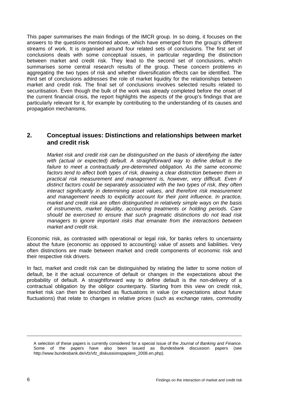<span id="page-13-0"></span>This paper summarises the main findings of the IMCR group. In so doing, it focuses on the answers to the questions mentioned above, which have emerged from the group's different streams of work. It is organised around four related sets of conclusions. The first set of conclusions deals with some conceptual issues, in particular regarding the distinction between market and credit risk. They lead to the second set of conclusions, which summarises some central research results of the group. These concern problems in aggregating the two types of risk and whether diversification effects can be identified. The third set of conclusions addresses the role of market liquidity for the relationships between market and credit risk. The final set of conclusions involves selected results related to securitisation. Even though the bulk of the work was already completed before the onset of the current financial crisis, the report highlights the aspects of the group's findings that are particularly relevant for it, for example by contributing to the understanding of its causes and propagation mechanisms.

# **2. Conceptual issues: Distinctions and relationships between market and credit risk**

*Market risk and credit risk can be distinguished on the basis of identifying the latter with (actual or expected) default. A straightforward way to define default is the failure to meet a contractually pre-determined obligation. As the same economic*  factors tend to affect both types of risk, drawing a clear distinction between them in practical risk measurement and management is, however, very difficult. Even if *distinct factors could be separately associated with the two types of risk, they often interact significantly in determining asset values, and therefore risk measurement*  and management needs to explicitly account for their joint influence. In practice, *market and credit risk are often distinguished in relatively simple ways on the basis of instruments, market liquidity, accounting treatments or holding periods. Care should be exercised to ensure that such pragmatic distinctions do not lead risk managers to ignore important risks that emanate from the interactions between market and credit risk.* 

Economic risk, as contrasted with operational or legal risk, for banks refers to uncertainty about the future (economic as opposed to accounting) value of assets and liabilities. Very often distinctions are made between market and credit components of economic risk and their respective risk drivers.

In fact, market and credit risk can be distinguished by relating the latter to some notion of default, be it the actual occurrence of default or changes in the expectations about the probability of default. A straightforward way to define default is the non-delivery of a contractual obligation by the obligor counterparty. Starting from this view on credit risk, market risk can then be described as fluctuations in value (or expectations about future fluctuations) that relate to changes in relative prices (such as exchange rates, commodity

A selection of these papers is currently considered for a special issue of the *Journal of Banking and Finance*. Some of the papers have also been issued as Bundesbank discussion papers (see [http://www.bundesbank.de/vfz/vfz\\_diskussionspapiere\\_2008.en.php](http://www.bundesbank.de/vfz/vfz_diskussionspapiere_2008.en.php)).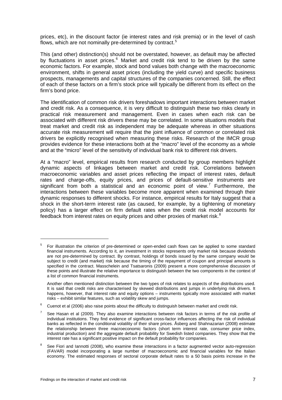prices, etc), in the discount factor (ie interest rates and risk premia) or in the level of cash flows, which are not nominally pre-determined by contract.<sup>[5](#page-14-0)</sup>

This (and other) distinction(s) should not be overstated, however, as default may be affected by fluctuations in asset prices.<sup>[6](#page-14-1)</sup> Market and credit risk tend to be driven by the same economic factors. For example, stock and bond values both change with the macroeconomic environment, shifts in general asset prices (including the yield curve) and specific business prospects, managements and capital structures of the companies concerned. Still, the effect of each of these factors on a firm's stock price will typically be different from its effect on the firm's bond price.

The identification of common risk drivers foreshadows important interactions between market and credit risk. As a consequence, it is very difficult to distinguish these two risks clearly in practical risk measurement and management. Even in cases when each risk can be associated with different risk drivers these may be correlated. In some situations models that treat market and credit risk as independent may be adequate whereas in other situations accurate risk measurement will require that the joint influence of common or correlated risk drivers be explicitly recognised when measuring these risks. Research of the IMCR group provides evidence for these interactions both at the "macro" level of the economy as a whole and at the "micro" level of the sensitivity of individual bank risk to different risk drivers.

At a "macro" level, empirical results from research conducted by group members highlight dynamic aspects of linkages between market and credit risk. Correlations between macroeconomic variables and asset prices reflecting the impact of interest rates, default rates and charge-offs, equity prices, and prices of default-sensitive instruments are significant from both a statistical and an economic point of view.<sup>[7](#page-14-2)</sup> Furthermore, the interactions between these variables become more apparent when examined through their dynamic responses to different shocks. For instance, empirical results for Italy suggest that a shock in the short-term interest rate (as caused, for example, by a tightening of monetary policy) has a larger effect on firm default rates when the credit risk model accounts for feedback from interest rates on equity prices and other proxies of market risk. $8$ 

<span id="page-14-0"></span><sup>5</sup> For illustration the criterion of pre-determined or open-ended cash flows can be applied to some standard financial instruments. According to it, an investment in stocks represents only market risk because dividends are not pre-determined by contract. By contrast, holdings of bonds issued by the same company would be subject to credit (and market) risk because the timing of the repayment of coupon and principal amounts is specified in the contract. Masschelein and Tsatsaronis (2009) present a more comprehensive discussion of these points and illustrate the relative importance to distinguish between the two components in the context of a list of common financial instruments.

Another often mentioned distinction between the two types of risk relates to aspects of the distributions used. It is said that credit risks are characterised by skewed distributions and jumps in underlying risk drivers. It happens, however, that interest rate and equity options – instruments typically more associated with market risks – exhibit similar features, such as volatility skew and jumps.

<span id="page-14-1"></span><sup>6</sup> Cuenot et al (2006) also raise points about the difficulty to distinguish between market and credit risk.

<span id="page-14-2"></span><sup>7</sup> See Hasan et al (2009). They also examine interactions between risk factors in terms of the risk profile of individual institutions. They find evidence of significant cross-factor influences affecting the risk of individual banks as reflected in the conditional volatility of their share prices. Åsberg and Shahnazarian (2008) estimate the relationship between three macroeconomic factors (short term interest rate, consumer price index, industrial production) and the aggregate default probability for Swedish listed companies. They show that the interest rate has a significant positive impact on the default probability for companies.

<span id="page-14-3"></span><sup>8</sup> See Fiori and Iannotti (2008), who examine these interactions in a factor augmented vector auto-regression (FAVAR) model incorporating a large number of macroeconomic and financial variables for the Italian economy. The estimated responses of sectoral corporate default rates to a 50 basis points increase in the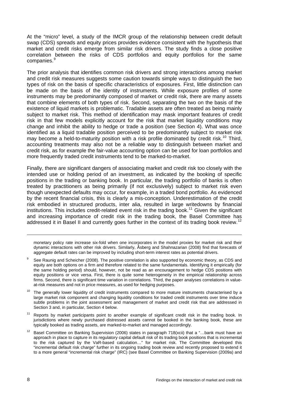At the "micro" level, a study of the IMCR group of the relationship between credit default swap (CDS) spreads and equity prices provides evidence consistent with the hypothesis that market and credit risks emerge from similar risk drivers. The study finds a close positive correlation between the risks of CDS portfolios and equity portfolios for the same companies.<sup>[9](#page-15-0)</sup>

The prior analysis that identifies common risk drivers and strong interactions among market and credit risk measures suggests some caution towards simple ways to distinguish the two types of risk on the basis of specific characteristics of exposures. First, little distinction can be made on the basis of the identity of instruments. While exposure profiles of some instruments may be predominantly composed of market or credit risk, there are many assets that combine elements of both types of risk. Second, separating the two on the basis of the existence of liquid markets is problematic. Tradable assets are often treated as being mainly subject to market risk. This method of identification may mask important features of credit risk in that few models explicitly account for the risk that market liquidity conditions may change and inhibit the ability to hedge or trade a position (see Section 4). What was once identified as a liquid tradable position perceived to be predominantly subject to market risk may become a held-to-maturity position with a risk profile dominated by credit risk.<sup>[10](#page-15-1)</sup> Third, accounting treatments may also not be a reliable way to distinguish between market and credit risk, as for example the fair-value accounting option can be used for loan portfolios and more frequently traded credit instruments tend to be marked-to-market.

Finally, there are significant dangers of associating market and credit risk too closely with the intended use or holding period of an investment, as indicated by the booking of specific positions in the trading or banking book. In particular, the trading portfolio of banks is often treated by practitioners as being primarily (if not exclusively) subject to market risk even though unexpected defaults may occur, for example, in a traded bond portfolio. As evidenced by the recent financial crisis, this is clearly a mis-conception. Underestimation of the credit risk embodied in structured products, inter alia, resulted in large writedowns by financial institutions. This includes credit-related event risk in the trading book.<sup>[11](#page-15-2)</sup> Given the significant and increasing importance of credit risk in the trading book, the Basel Committee has addressed it in Basel II and currently goes further in the context of its trading book review.<sup>[12](#page-15-3)</sup>

monetary policy rate increase six-fold when one incorporates in the model proxies for market risk and their dynamic interactions with other risk drivers. Similarly, Åsberg and Shahnazarian (2008) find that forecasts of aggregate default rates can be improved by including short-term interest rates as potential drivers.

- <span id="page-15-0"></span>9 See Raunig and Scheicher (2008). The positive correlation is also supported by economic theory, as CDS and equity are both options on a firm and therefore related to the same fundamentals. Identifying it empirically (for the same holding period) should, however, not be read as an encouragement to hedge CDS positions with equity positions or vice versa. First, there is quite some heterogeneity in the empirical relationship across firms. Second, there is significant time variation in correlations. Third, the paper analyses correlations in valueat-risk measures and not in price measures, as used for hedging purposes.
- <span id="page-15-1"></span><sup>10</sup> The generally lower liquidity of credit instruments compared to more mature instruments characterised by a large market risk component and changing liquidity conditions for traded credit instruments over time induce subtle problems in the joint assessment and management of market and credit risk that are addressed in Section 3 and, in particular, Section 4 below.
- <span id="page-15-2"></span><sup>11</sup> Reports by market participants point to another example of significant credit risk in the trading book. In jurisdictions where newly purchased distressed assets cannot be booked in the banking book, these are typically booked as trading assets, are marked-to-market and managed accordingly.
- <span id="page-15-3"></span><sup>12</sup> Basel Committee on Banking Supervision (2006) states in paragraph 718(xcii) that a "...bank must have an approach in place to capture in its regulatory capital default risk of its trading book positions that is incremental to the risk captured by the VaR-based calculation…" for market risk. The Committee developed this "incremental default risk charge" further in its ongoing trading book review and recently proposed to extend it to a more general "incremental risk charge" (IRC) (see Basel Committee on Banking Supervision (2009a) and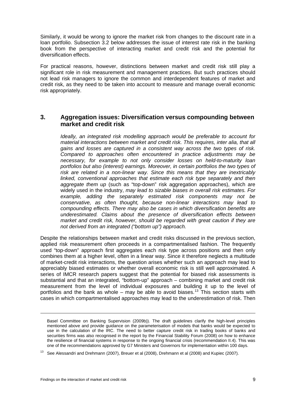<span id="page-16-0"></span>Similarly, it would be wrong to ignore the market risk from changes to the discount rate in a loan portfolio. Subsection 3.2 below addresses the issue of interest rate risk in the banking book from the perspective of interacting market and credit risk and the potential for diversification effects.

For practical reasons, however, distinctions between market and credit risk still play a significant role in risk measurement and management practices. But such practices should not lead risk managers to ignore the common and interdependent features of market and credit risk, as they need to be taken into account to measure and manage overall economic risk appropriately.

## **3. Aggregation issues: Diversification versus compounding between market and credit risk**

*Ideally, an integrated risk modelling approach would be preferable to account for material interactions between market and credit risk. This requires, inter alia, that all gains and losses are captured in a consistent way across the two types of risk. Compared to approaches often encountered in practice adjustments may be necessary, for example to not only consider losses on held-to-maturity loan portfolios but also (interest) earnings. Moreover, in certain portfolios the two types of risk are related in a non-linear way. Since this means that they are inextricably linked, conventional approaches that estimate each risk type separately and then aggregate them up* (such as "top-down" risk aggregation approaches), which are widely used in the industry, *may lead to sizable biases in overall risk estimates. For example, adding the separately estimated risk components may not be conservative, as often thought, because non-linear interactions may lead to compounding effects. There may also be cases in which diversification benefits are underestimated. Claims about the presence of diversification effects between market and credit risk, however, should be regarded with great caution if they are not derived from an integrated ("bottom up") approach.* 

Despite the relationships between market and credit risks discussed in the previous section, applied risk measurement often proceeds in a compartmentalised fashion. The frequently used "top-down" approach first aggregates each risk type across positions and then only combines them at a higher level, often in a linear way. Since it therefore neglects a multitude of market-credit risk interactions, the question arises whether such an approach may lead to appreciably biased estimates or whether overall economic risk is still well approximated. A series of IMCR research papers suggest that the potential for biased risk assessments is substantial and that an integrated, "bottom-up" approach – combining market and credit risk measurement from the level of individual exposures and building it up to the level of portfolios and the bank as whole – may be able to avoid biases.<sup>[13](#page-16-1)</sup> This section starts with cases in which compartmentalised approaches may lead to the underestimation of risk. Then

-

Basel Committee on Banking Supervision (2009b)). The draft guidelines clarify the high-level principles mentioned above and provide guidance on the parameterisation of models that banks would be expected to use in the calculation of the IRC. The need to better capture credit risk in trading books of banks and securities firms was also recognised in the report by the Financial Stability Forum (2008) on how to enhance the resilience of financial systems in response to the ongoing financial crisis (recommendation II.4). This was one of the recommendations approved by G7 Ministers and Governors for implementation within 100 days.

<span id="page-16-1"></span><sup>&</sup>lt;sup>13</sup> See Alessandri and Drehmann (2007), Breuer et al (2008), Drehmann et al (2008) and Kupiec (2007).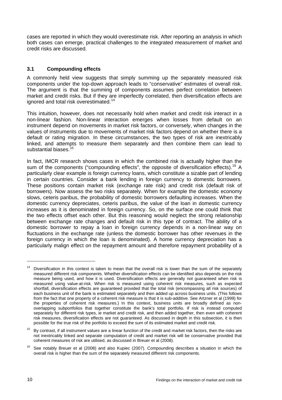<span id="page-17-0"></span>cases are reported in which they would overestimate risk. After reporting an analysis in which both cases can emerge, practical challenges to the integrated measurement of market and credit risks are discussed.

#### **3.1 Compounding effects**

A commonly held view suggests that simply summing up the separately measured risk components under the top-down approach leads to "conservative" estimates of overall risk. The argument is that the summing of components assumes perfect correlation between market and credit risks. But if they are imperfectly correlated, then diversification effects are ignored and total risk overestimated.<sup>[14](#page-17-1)</sup>

This intuition, however, does not necessarily hold when market and credit risk interact in a non-linear fashion. Non-linear interaction emerges when losses from default on an instrument depend on movements in market risk factors, or conversely, when changes in the values of instruments due to movements of market risk factors depend on whether there is a default or rating migration. In these circumstances, the two types of risk are inextricably linked, and attempts to measure them separately and then combine them can lead to substantial biases.<sup>[15](#page-17-2)</sup>

In fact, IMCR research shows cases in which the combined risk is actually higher than the sum of the components ("compounding effects", the opposite of diversification effects).<sup>[16](#page-17-3)</sup> A particularly clear example is foreign currency loans, which constitute a sizable part of lending in certain countries. Consider a bank lending in foreign currency to domestic borrowers. These positions contain market risk (exchange rate risk) and credit risk (default risk of borrowers). Now assess the two risks separately. When for example the domestic economy slows, ceteris paribus, the probability of domestic borrowers defaulting increases. When the domestic currency depreciates, ceteris paribus, the value of the loan in domestic currency increases as it is denominated in foreign currency. So, on the surface one could think that the two effects offset each other. But this reasoning would neglect the strong relationship between exchange rate changes and default risk in this type of contract. The ability of a domestic borrower to repay a loan in foreign currency depends in a non-linear way on fluctuations in the exchange rate (unless the domestic borrower has other revenues in the foreign currency in which the loan is denominated). A home currency depreciation has a particularly malign effect on the repayment amount and therefore repayment probability of a

<span id="page-17-1"></span><sup>&</sup>lt;sup>14</sup> Diversification in this context is taken to mean that the overall risk is lower than the sum of the separately measured different risk components. Whether diversification effects can be identified also depends on the risk measure being used, and how it is used. Diversification effects are generally not guaranteed when risk is measured using value-at-risk. When risk is measured using coherent risk measures, such as expected shortfall, diversification effects are guaranteed provided that the total risk (encompassing all risk sources) of each business unit of the bank is estimated separately and then added up across business units. (This follows from the fact that one property of a coherent risk measure is that it is sub-additive. See Artzner et al (1999) for the properties of coherent risk measures.) In this context, business units are broadly defined as nonoverlapping subportfolios that together constitute the bank's total portfolio. If risk is instead computed separately for different risk types, ie market and credit risk, and then added together, then even with coherent risk measures, diversification effects are not guaranteed. As discussed in depth in this subsection, it is then possible for the true risk of the portfolio to exceed the sum of its estimated market and credit risk.

<span id="page-17-2"></span> $15$  Bv contrast, if all instrument values are a linear function of the credit and market risk factors, then the risks are not inextricably linked and separate computation of credit and market risk will be conservative provided that coherent measures of risk are utilised, as discussed in Breuer et al (2008).

<span id="page-17-3"></span> $16$  See notably Breuer et al (2008) and also Kupiec (2007). Compounding describes a situation in which the overall risk is higher than the sum of the separately measured different risk components.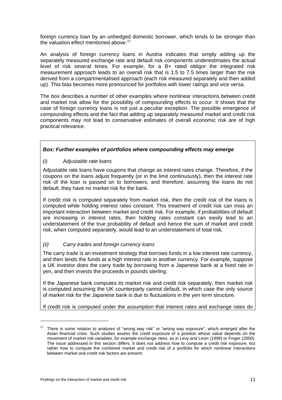<span id="page-18-0"></span>foreign currency loan by an unhedged domestic borrower, which tends to be stronger than the valuation effect mentioned above.<sup>[17](#page-18-1)</sup>

An analysis of foreign currency loans in Austria indicates that simply adding up the separately measured exchange rate and default risk components underestimates the actual level of risk several times. For example, for a B+ rated obligor the integrated risk measurement approach leads to an overall risk that is 1.5 to 7.5 times larger than the risk derived from a compartmentalised approach (each risk measured separately and then added up). This bias becomes more pronounced for portfolios with lower ratings and vice versa.

The box describes a number of other examples where nonlinear interactions between credit and market risk allow for the possibility of compounding effects to occur. It shows that the case of foreign currency loans is not just a peculiar exception. The possible emergence of compounding effects and the fact that adding up separately measured market and credit risk components may not lead to conservative estimates of overall economic risk are of high practical relevance.

#### *Box: Further examples of portfolios where compounding effects may emerge*

#### *(i) Adjustable rate loans*

Adjustable rate loans have coupons that change as interest rates change. Therefore, if the coupons on the loans adjust frequently (or in the limit continuously), then the interest rate risk of the loan is passed on to borrowers, and therefore, assuming the loans do not default, they have no market risk for the bank.

If credit risk is computed separately from market risk, then the credit risk of the loans is computed while holding interest rates constant. This treatment of credit risk can miss an important interaction between market and credit risk. For example, if probabilities of default are increasing in interest rates, then holding rates constant can easily lead to an understatement of the true probability of default and hence the sum of market and credit risk, when computed separately, would lead to an understatement of total risk.

#### *(ii) Carry trades and foreign currency loans*

The carry trade is an investment strategy that borrows funds in a low interest rate currency. and then lends the funds at a high interest rate in another currency. For example, suppose a UK investor does the carry trade by borrowing from a Japanese bank at a fixed rate in yen, and then invests the proceeds in pounds sterling.

If the Japanese bank computes its market risk and credit risk separately, then market risk is computed assuming the UK counterparty cannot default, in which case the only source of market risk for the Japanese bank is due to fluctuations in the yen term structure.

If credit risk is computed under the assumption that interest rates and exchange rates do

<span id="page-18-1"></span><sup>&</sup>lt;sup>17</sup> There is some relation to analyses of "wrong way risk" or "wrong way exposure", which emerged after the Asian financial crisis. Such studies assess the credit exposure of a position whose value depends on the movement of market risk variables, for example exchange rates, as in Levy and Levin (1999) or Finger (2000). The issue addressed in this section differs. It does not address how to compute a credit risk exposure, but rather how to compute the combined market and credit risk of a portfolio for which nonlinear interactions between market and credit risk factors are present.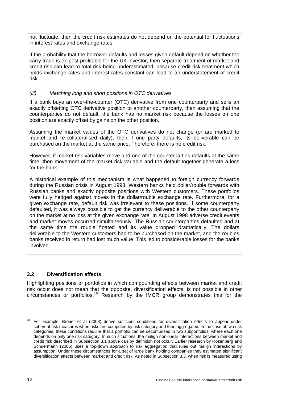not fluctuate, then the credit risk estimates do not depend on the potential for fluctuations in interest rates and exchange rates.

If the probability that the borrower defaults and losses given default depend on whether the carry trade is ex-post profitable for the UK investor, then separate treatment of market and credit risk can lead to total risk being underestimated, because credit risk treatment which holds exchange rates and interest rates constant can lead to an understatement of credit risk.

## *(iii) Matching long and short positions in OTC derivatives*

If a bank buys an over-the-counter (OTC) derivative from one counterparty and sells an exactly offsetting OTC derivative position to another counterparty, then assuming that the counterparties do not default, the bank has no market risk because the losses on one position are exactly offset by gains on the other position.

Assuming the market values of the OTC derivatives do not change (or are marked to market and re-collateralised daily), then if one party defaults, its deliverable can be purchased on the market at the same price. Therefore, there is no credit risk.

However, if market risk variables move and one of the counterparties defaults at the same time, then movement of the market risk variable and the default together generate a loss for the bank.

A historical example of this mechanism is what happened to foreign currency forwards during the Russian crisis in August 1998. Western banks held dollar/rouble forwards with Russian banks and exactly opposite positions with Western customers. These portfolios were fully hedged against moves in the dollar/rouble exchange rate. Furthermore, for a given exchange rate, default risk was irrelevant to these positions. If some counterparty defaulted, it was always possible to get the currency deliverable to the other counterparty on the market at no loss at the given exchange rate. In August 1998 adverse credit events and market moves occurred simultaneously. The Russian counterparties defaulted and at the same time the rouble floated and its value dropped dramatically. The dollars deliverable to the Western customers had to be purchased on the market, and the roubles banks received in return had lost much value. This led to considerable losses for the banks involved.

# **3.2 Diversification effects**

Highlighting positions or portfolios in which compounding effects between market and credit risk occur does not mean that the opposite, diversification effects, is not possible in other circumstances or portfolios.[18](#page-19-0) Research by the IMCR group demonstrates this for the

<span id="page-19-0"></span><sup>18</sup> For example, Breuer et al (2008) derive sufficient conditions for diversification effects to appear under coherent risk measures when risks are computed by risk category and then aggregated. In the case of two risk categories, these conditions require that a portfolio can be decomposed in two subportfolios, where each one depends on only one risk category. In such situations, the malign non-linear interactions between market and credit risk described in Subsection 3.1 above can by definition not occur. Earlier research by Rosenberg and Schuermann (2006) uses a top-down approach to risk aggregation that rules out malign interactions by assumption. Under these circumstances for a set of large bank holding companies they estimated significant diversification effects between market and credit risk. As noted in Subsection 3.3, when risk is measured using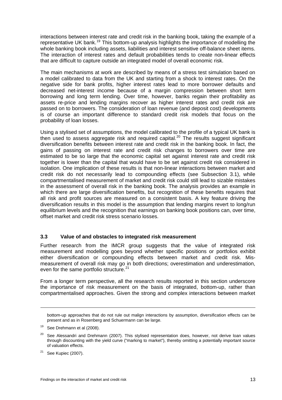<span id="page-20-0"></span>interactions between interest rate and credit risk in the banking book, taking the example of a representative UK bank.<sup>[19](#page-20-1)</sup> This bottom-up analysis highlights the importance of modelling the whole banking book including assets, liabilities and interest sensitive off-balance sheet items. The interaction of interest rates and default probabilities tends to create non-linear effects that are difficult to capture outside an integrated model of overall economic risk.

The main mechanisms at work are described by means of a stress test simulation based on a model calibrated to data from the UK and starting from a shock to interest rates. On the negative side for bank profits, higher interest rates lead to more borrower defaults and decreased net-interest income because of a margin compression between short term borrowing and long term lending. Over time, however, banks regain their profitability as assets re-price and lending margins recover as higher interest rates and credit risk are passed on to borrowers. The consideration of loan revenue (and deposit cost) developments is of course an important difference to standard credit risk models that focus on the probability of loan losses.

Using a stylised set of assumptions, the model calibrated to the profile of a typical UK bank is then used to assess aggregate risk and required capital.<sup>[20](#page-20-2)</sup> The results suggest significant diversification benefits between interest rate and credit risk in the banking book. In fact, the gains of passing on interest rate and credit risk changes to borrowers over time are estimated to be so large that the economic capital set against interest rate and credit risk together is lower than the capital that would have to be set against credit risk considered in isolation. One implication of these results is that non-linear interactions between market and credit risk do not necessarily lead to compounding effects (see Subsection 3.1), while compartmentalised measurement of market and credit risk could still lead to sizable mistakes in the assessment of overall risk in the banking book. The analysis provides an example in which there are large diversification benefits, but recognition of these benefits requires that all risk and profit sources are measured on a consistent basis. A key feature driving the diversification results in this model is the assumption that lending margins revert to long/run equilibrium levels and the recognition that earnings on banking book positions can, over time, offset market and credit risk stress scenario losses.

#### **3.3 Value of and obstacles to integrated risk measurement**

Further research from the IMCR group suggests that the value of integrated risk measurement and modelling goes beyond whether specific positions or portfolios exhibit either diversification or compounding effects between market and credit risk. Mismeasurement of overall risk may go in both directions; overestimation and underestimation, even for the same portfolio structure.<sup>[21](#page-20-3)</sup>

From a longer term perspective, all the research results reported in this section underscore the importance of risk measurement on the basis of integrated, bottom-up, rather than compartmentalised approaches. Given the strong and complex interactions between market

-

bottom-up approaches that do not rule out malign interactions by assumption, diversification effects can be present and as in Rosenberg and Schuermann can be large.

<sup>&</sup>lt;sup>19</sup> See Drehmann et al (2008).

<span id="page-20-2"></span><span id="page-20-1"></span> $20$  See Alessandri and Drehmann (2007). This stylised representation does, however, not derive loan values through discounting with the yield curve ("marking to market"), thereby omitting a potentially important source of valuation effects.

<span id="page-20-3"></span> $21$  See Kupiec (2007).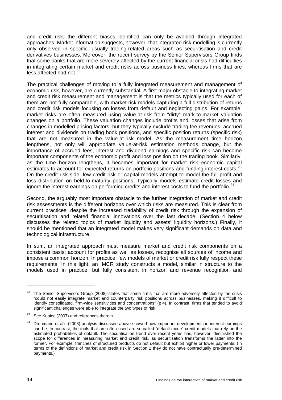and credit risk, the different biases identified can only be avoided through integrated approaches. Market information suggests, however, that integrated risk modelling is currently only observed in specific, usually trading-related areas such as securitisation and credit derivatives businesses. Moreover, the recent survey by the Senior Supervisors Group finds that some banks that are more severely affected by the current financial crisis had difficulties in integrating certain market and credit risks across business lines, whereas firms that are less affected had not. $22$ 

The practical challenges of moving to a fully integrated measurement and management of economic risk, however, are currently substantial. A first major obstacle to integrating market and credit risk measurement and management is that the metrics typically used for each of them are not fully comparable, with market risk models capturing a full distribution of returns and credit risk models focusing on losses from default and neglecting gains. For example, market risks are often measured using value-at-risk from "dirty" mark-to-market valuation changes on a portfolio. These valuation changes include profits and losses that arise from changes in modelled pricing factors, but they typically exclude trading fee revenues, accrued interest and dividends on trading book positions, and specific position returns (specific risk) that are not measured in the value-at-risk model. As the measurement time horizon lengthens, not only will appropriate value-at-risk estimation methods change, but the importance of accrued fees, interest and dividend earnings and specific risk can become important components of the economic profit and loss position on the trading book. Similarly, as the time horizon lengthens, it becomes important for market risk economic capital estimates to account for expected returns on portfolio positions and funding interest costs.<sup>[23](#page-21-1)</sup> On the credit risk side, few credit risk or capital models attempt to model the full profit and loss distribution on held-to-maturity positions. Typically models estimate credit losses and ignore the interest earnings on performing credits and interest costs to fund the portfolio.<sup>[24](#page-21-2)</sup>

Second, the arguably most important obstacle to the further integration of market and credit risk assessments is the different horizons over which risks are measured. This is clear from current practices, despite the increased tradability of credit risk through the expansion of securitisation and related financial innovations over the last decade. (Section 4 below discusses the related topics of market liquidity and assets' liquidity horizons.) Finally, it should be mentioned that an integrated model makes very significant demands on data and technological infrastructure.

In sum, an integrated approach must measure market and credit risk components on a consistent basis; account for profits as well as losses, recognise all sources of income and impose a common horizon. In practice, few models of market or credit risk fully respect these requirements. In this light, an IMCR study constructs a model, similar in structure to the models used in practice, but fully consistent in horizon and revenue recognition and

 $\overline{a}$ 

<span id="page-21-0"></span><sup>&</sup>lt;sup>22</sup> The Senior Supervisors Group (2008) states that some firms that are more adversely affected by the crisis "could not easily integrate market and counterparty risk positions across businesses, making it difficult to identify consolidated, firm-wide sensitivities and concentrations" (p 4). In contrast, firms that tended to avoid significant challenges were able to integrate the two types of risk.

<span id="page-21-1"></span><sup>&</sup>lt;sup>23</sup> See Kupiec (2007) and references therein.

<span id="page-21-2"></span>Drehmann et al's (2008) analysis discussed above showed how important developments in interest earnings can be. In contrast, the tools that are often used are so-called "default-mode" credit models that rely on the estimated probabilities of default. The securitisation trend over recent years has, however, diminished the scope for differences in measuring market and credit risk, as securitisation transforms the latter into the former. For example, tranches of structured products do not default but exhibit higher or lower payments. (In terms of the definitions of market and credit risk in Section 2 they do not have contractually pre-determined payments.)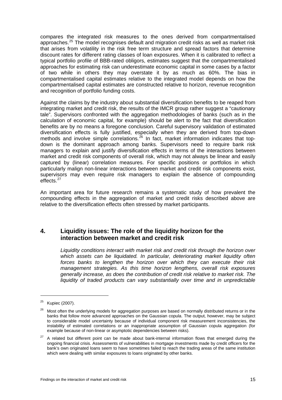<span id="page-22-0"></span>compares the integrated risk measures to the ones derived from compartmentalised approaches.<sup>[25](#page-22-1)</sup> The model recognises default and migration credit risks as well as market risk that arises from volatility in the risk free term structure and spread factors that determine discount rates for different rating classes of loan exposures. When it is calibrated to reflect a typical portfolio profile of BBB-rated obligors, estimates suggest that the compartmentalised approaches for estimating risk can underestimate economic capital in some cases by a factor of two while in others they may overstate it by as much as 60%. The bias in compartmentalised capital estimates relative to the integrated model depends on how the compartmentalised capital estimates are constructed relative to horizon, revenue recognition and recognition of portfolio funding costs.

Against the claims by the industry about substantial diversification benefits to be reaped from integrating market and credit risk, the results of the IMCR group rather suggest a "cautionary tale". Supervisors confronted with the aggregation methodologies of banks (such as in the calculation of economic capital, for example) should be alert to the fact that diversification benefits are by no means a foregone conclusion. Careful supervisory validation of estimated diversification effects is fully justified, especially when they are derived from top-down methods and involve simple correlations.<sup>[26](#page-22-2)</sup> In fact, market information indicates that topdown is the dominant approach among banks. Supervisors need to require bank risk managers to explain and justify diversification effects in terms of the interactions between market and credit risk components of overall risk, which may not always be linear and easily captured by (linear) correlation measures. For specific positions or portfolios in which particularly malign non-linear interactions between market and credit risk components exist, supervisors may even require risk managers to explain the absence of compounding effects.<sup>[27](#page-22-3)</sup>

An important area for future research remains a systematic study of how prevalent the compounding effects in the aggregation of market and credit risks described above are relative to the diversification effects often stressed by market participants.

# **4. Liquidity issues: The role of the liquidity horizon for the interaction between market and credit risk**

*Liquidity conditions interact with market risk and credit risk through the horizon over which assets can be liquidated. In particular, deteriorating market liquidity often forces banks to lengthen the horizon over which they can execute their risk management strategies. As this time horizon lengthens, overall risk exposures generally increase, as does the contribution of credit risk relative to market risk. The liquidity of traded products can vary substantially over time and in unpredictable* 

 $\overline{a}$ 

<span id="page-22-1"></span> $25$  Kupiec (2007).

<span id="page-22-2"></span><sup>&</sup>lt;sup>26</sup> Most often the underlying models for aggregation purposes are based on normally distributed returns or in the banks that follow more advanced approaches on the Gaussian copula. The output, however, may be subject to considerable model uncertainty because of individual component risk measurement inconsistencies, the instability of estimated correlations or an inappropriate assumption of Gaussian copula aggregation (for example because of non-linear or asymptotic dependencies between risks).

<span id="page-22-3"></span> $27$  A related but different point can be made about bank-internal information flows that emerged during the ongoing financial crisis. Assessments of vulnerabilities in mortgage investments made by credit officers for the bank's own originated loans seem to have sometimes failed to reach the trading areas of the same institution which were dealing with similar exposures to loans originated by other banks.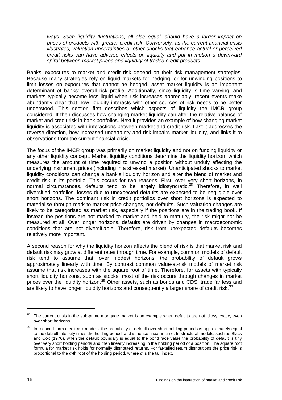*ways. Such liquidity fluctuations, all else equal, should have a larger impact on prices of products with greater credit risk. Conversely, as the current financial crisis illustrates, valuation uncertainties or other shocks that enhance actual or perceived credit risks can have adverse effects on liquidity and put in motion a downward spiral between market prices and liquidity of traded credit products.* 

Banks' exposures to market and credit risk depend on their risk management strategies. Because many strategies rely on liquid markets for hedging, or for unwinding positions to limit losses on exposures that cannot be hedged, asset market liquidity is an important determinant of banks' overall risk profile. Additionally, since liquidity is time varying, and markets typically become less liquid when risk increases appreciably, recent events make abundantly clear that how liquidity interacts with other sources of risk needs to be better understood. This section first describes which aspects of liquidity the IMCR group considered. It then discusses how changing market liquidity can alter the relative balance of market and credit risk in bank portfolios. Next it provides an example of how changing market liquidity is associated with interactions between market and credit risk. Last it addresses the reverse direction, how increased uncertainty and risk impairs market liquidity, and links it to observations from the current financial crisis.

The focus of the IMCR group was primarily on market liquidity and not on funding liquidity or any other liquidity concept. Market liquidity conditions determine the liquidity horizon, which measures the amount of time required to unwind a position without unduly affecting the underlying instrument prices (including in a stressed market). Unanticipated shocks to market liquidity conditions can change a bank's liquidity horizon and alter the blend of market and credit risk in its portfolio. This occurs for two reasons. First, over very short horizons, in normal circumstances, defaults tend to be largely idiosyncratic.<sup>[28](#page-23-0)</sup> Therefore, in well diversified portfolios, losses due to unexpected defaults are expected to be negligible over short horizons. The dominant risk in credit portfolios over short horizons is expected to materialise through mark-to-market price changes, not defaults. Such valuation changes are likely to be categorised as market risk, especially if the positions are in the trading book. If instead the positions are not marked to market and held to maturity, the risk might not be measured at all. Over longer horizons, defaults are driven by changes in macroeconomic conditions that are not diversifiable. Therefore, risk from unexpected defaults becomes relatively more important.

<span id="page-23-2"></span>A second reason for why the liquidity horizon affects the blend of risk is that market risk and default risk may grow at different rates through time. For example, common models of default risk tend to assume that, over modest horizons, the probability of default grows approximately linearly with time. By contrast common value-at-risk models of market risk assume that risk increases with the square root of time. Therefore, for assets with typically short liquidity horizons, such as stocks, most of the risk occurs through changes in market prices over the liquidity horizon.<sup>[29](#page-23-1)</sup> Other assets, such as bonds and CDS, trade far less and are likely to have longer liquidity horizons and consequently a larger share of credit risk.<sup>[30](#page-23-2)</sup>

<span id="page-23-0"></span> $28$  The current crisis in the sub-prime mortgage market is an example when defaults are not idiosyncratic, even over short horizons.

<span id="page-23-1"></span><sup>&</sup>lt;sup>29</sup> In reduced-form credit risk models, the probability of default over short holding periods is approximately equal to the default intensity times the holding period, and is hence linear in time. In structural models, such as Black and Cox (1976), when the default boundary is equal to the bond face value the probability of default is tiny over very short holding periods and then linearly increasing in the holding period of a position. The square root formula for market risk holds for normally distributed returns. For fat-tailed return distributions the price risk is proportional to the *α*-th root of the holding period, where *α* is the tail index.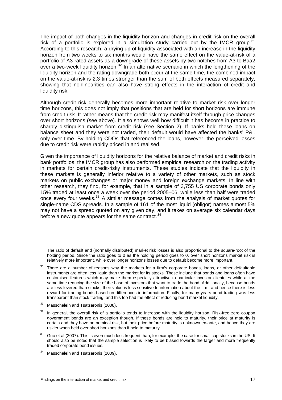The impact of both changes in the liquidity horizon and changes in credit risk on the overall risk of a portfolio is explored in a simulation study carried out by the IMCR group.<sup>[31](#page-24-0)</sup> According to this research, a drying up of liquidity associated with an increase in the liquidity horizon from two weeks to six months would have the same effect on the value-at-risk of a portfolio of A3-rated assets as a downgrade of these assets by two notches from A3 to Baa2 over a two-week liquidity horizon.<sup>[32](#page-24-1)</sup> In an alternative scenario in which the lengthening of the liquidity horizon and the rating downgrade both occur at the same time, the combined impact on the value-at-risk is 2.3 times stronger than the sum of both effects measured separately, showing that nonlinearities can also have strong effects in the interaction of credit and liquidity risk.

Although credit risk generally becomes more important relative to market risk over longer time horizons, this does not imply that positions that are held for short horizons are immune from credit risk. It rather means that the credit risk may manifest itself through price changes over short horizons (see above). It also shows well how difficult it has become in practice to sharply distinguish market from credit risk (see Section 2). If banks held these loans on balance sheet and they were not traded, their default would have affected the banks' P&L only over time. By holding CDOs that referenced the loans, however, the perceived losses due to credit risk were rapidly priced in and realised.

Given the importance of liquidity horizons for the relative balance of market and credit risks in bank portfolios, the IMCR group has also performed empirical research on the trading activity in markets for certain credit-risky instruments. These studies indicate that the liquidity in these markets is generally inferior relative to a variety of other markets, such as stock markets on public exchanges or major money and foreign exchange markets. In line with other research, they find, for example, that in a sample of 3,755 US corporate bonds only 15% traded at least once a week over the period 2005–06, while less than half were traded once every four weeks.<sup>[33](#page-24-2)</sup> A similar message comes from the analysis of market quotes for single-name CDS spreads. In a sample of 161 of the most liquid (obligor) names almost 5% may not have a spread quoted on any given day, and it takes on average six calendar days before a new quote appears for the same contract.  $34$ 

<span id="page-24-0"></span><sup>31</sup> Masschelein and Tsatsaronis (2008).

-

- <span id="page-24-1"></span> $32$  In general, the overall risk of a portfolio tends to increase with the liquidity horizon. Risk-free zero coupon government bonds are an exception though. If these bonds are held to maturity, their price at maturity is certain and they have no nominal risk, but their price before maturity is unknown ex-ante, and hence they are riskier when held over short horizons than if held to maturity.
- <span id="page-24-2"></span><sup>33</sup> Guo et al (2007). This is even much less frequent than, for example, the case for small cap stocks in the US. It should also be noted that the sample selection is likely to be biased towards the larger and more frequently traded corporate bond issues.
- <span id="page-24-3"></span><sup>34</sup> Masschelein and Tsatsaronis (2009).

The ratio of default and (normally distributed) market risk losses is also proportional to the square-root of the holding period. Since the ratio goes to 0 as the holding period goes to 0, over short horizons market risk is relatively more important, while over longer horizons losses due to default become more important.

 $30$  There are a number of reasons why the markets for a firm's corporate bonds, loans, or other defaultable instruments are often less liquid than the market for its stocks. These include that bonds and loans often have customised features which may make them especially attractive to particular investor clienteles while at the same time reducing the size of the base of investors that want to trade the bond. Additionally, because bonds are less levered than stocks, their value is less sensitive to information about the firm, and hence there is less reward for trading bonds based on differences in information. Finally, for many years bond trading was less transparent than stock trading, and this too had the effect of reducing bond market liquidity.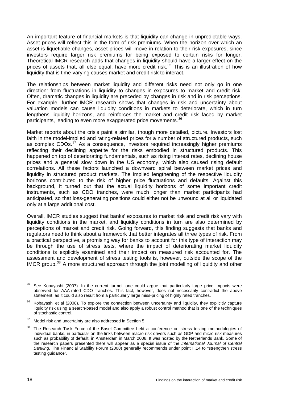An important feature of financial markets is that liquidity can change in unpredictable ways. Asset prices will reflect this in the form of risk premiums. When the horizon over which an asset is liquefiable changes, asset prices will move in relation to their risk exposures, since investors require larger risk premiums for being exposed to certain risks for longer. Theoretical IMCR research adds that changes in liquidity should have a larger effect on the prices of assets that, all else equal, have more credit risk.<sup>[35](#page-25-0)</sup> This is an illustration of how liquidity that is time-varying causes market and credit risk to interact.

The relationships between market liquidity and different risks need not only go in one direction: from fluctuations in liquidity to changes in exposures to market and credit risk. Often, dramatic changes in liquidity are preceded by changes in risk and in risk perceptions. For example, further IMCR research shows that changes in risk and uncertainty about valuation models can cause liquidity conditions in markets to deteriorate, which in turn lengthens liquidity horizons, and reinforces the market and credit risk faced by market participants, leading to even more exaggerated price movements.<sup>[36](#page-25-1)</sup>

Market reports about the crisis paint a similar, though more detailed, picture. Investors lost faith in the model-implied and rating-related prices for a number of structured products, such as complex CDOs.<sup>[37](#page-25-2)</sup> As a consequence, investors required increasingly higher premiums reflecting their declining appetite for the risks embodied in structured products. This happened on top of deteriorating fundamentals, such as rising interest rates, declining house prices and a general slow down in the US economy, which also caused rising default correlations. All these factors launched a downward spiral between market prices and liquidity in structured product markets. The implied lengthening of the respective liquidity horizons contributed to the risk of higher price fluctuations and defaults. Against this background, it turned out that the actual liquidity horizons of some important credit instruments, such as CDO tranches, were much longer than market participants had anticipated, so that loss-generating positions could either not be unwound at all or liquidated only at a large additional cost.

Overall, IMCR studies suggest that banks' exposures to market risk and credit risk vary with liquidity conditions in the market, and liquidity conditions in turn are also determined by perceptions of market and credit risk. Going forward, this finding suggests that banks and regulators need to think about a framework that better integrates all three types of risk. From a practical perspective, a promising way for banks to account for this type of interaction may be through the use of stress tests, where the impact of deteriorating market liquidity conditions is explicitly examined and their impact on measured risk accounted for. The assessment and development of stress testing tools is, however, outside the scope of the IMCR group.<sup>[38](#page-25-3)</sup> A more structured approach through the joint modelling of liquidity and other

<span id="page-25-0"></span>See Kobayashi (2007). In the current turmoil one could argue that particularly large price impacts were observed for AAA-rated CDO tranches. This fact, however, does not necessarily contradict the above statement, as it could also result from a particularly large miss-pricing of highly rated tranches.

<span id="page-25-1"></span><sup>&</sup>lt;sup>36</sup> Kobayashi et al (2008). To explore the connection between uncertainty and liquidity, they explicitly capture liquidity risk using a search-based model and also apply a robust control method that is one of the techniques of stochastic control.

<span id="page-25-2"></span><sup>&</sup>lt;sup>37</sup> Model risk and uncertainty are also addressed in Section 5.

<span id="page-25-3"></span><sup>&</sup>lt;sup>38</sup> The Research Task Force of the Basel Committee held a conference on stress testing methodologies of individual banks, in particular on the links between macro risk drivers such as GDP and micro risk measures such as probability of default, in Amsterdam in March 2008. It was hosted by the Netherlands Bank. Some of the research papers presented there will appear as a special issue of the *International Journal of Central Banking*. The Financial Stability Forum (2008) generally recommends under point II.14 to "strengthen stress testing guidance".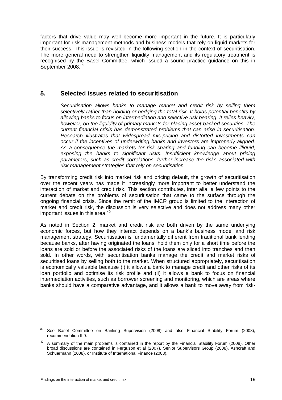<span id="page-26-0"></span>factors that drive value may well become more important in the future. It is particularly important for risk management methods and business models that rely on liquid markets for their success. This issue is revisited in the following section in the context of securitisation. The more general need to strengthen liquidity management and its regulatory treatment is recognised by the Basel Committee, which issued a sound practice guidance on this in September 2008.<sup>[39](#page-26-1)</sup>

# **5. Selected issues related to securitisation**

*Securitisation allows banks to manage market and credit risk by selling them selectively rather than holding or hedging the total risk. It holds potential benefits by allowing banks to focus on intermediation and selective risk bearing. It relies heavily, however, on the liquidity of primary markets for placing asset-backed securities. The current financial crisis has demonstrated problems that can arise in securitisation. Research illustrates that widespread mis-pricing and distorted investments can occur if the incentives of underwriting banks and investors are improperly aligned. As a consequence the markets for risk sharing and funding can become illiquid, exposing the banks to significant risks. Insufficient knowledge about pricing parameters, such as credit correlations, further increase the risks associated with risk management strategies that rely on securitisation.* 

By transforming credit risk into market risk and pricing default, the growth of securitisation over the recent years has made it increasingly more important to better understand the interaction of market and credit risk. This section contributes, inter alia, a few points to the current debate on the problems of securitisation that came to the surface through the ongoing financial crisis. Since the remit of the IMCR group is limited to the interaction of market and credit risk, the discussion is very selective and does not address many other important issues in this area.<sup>[40](#page-26-2)</sup>

As noted in Section 2, market and credit risk are both driven by the same underlying economic forces, but how they interact depends on a bank's business model and risk management strategy. Securitisation is fundamentally different from traditional bank lending because banks, after having originated the loans, hold them only for a short time before the loans are sold or before the associated risks of the loans are sliced into tranches and then sold. In other words, with securitisation banks manage the credit and market risks of securitised loans by selling both to the market. When structured appropriately, securitisation is economically valuable because (i) it allows a bank to manage credit and other risks of its loan portfolio and optimise its risk profile and (ii) it allows a bank to focus on financial intermediation activities, such as borrower screening and monitoring, which are areas where banks should have a comparative advantage, and it allows a bank to move away from risk-

 $\overline{a}$ 

<span id="page-26-1"></span><sup>&</sup>lt;sup>39</sup> See Basel Committee on Banking Supervision (2008) and also Financial Stability Forum (2008), recommendation II.9.

<span id="page-26-2"></span><sup>&</sup>lt;sup>40</sup> A summary of the main problems is contained in the report by the Financial Stability Forum (2008). Other broad discussions are contained in Ferguson et al (2007), Senior Supervisors Group (2008), Ashcraft and Schuermann (2008), or Institute of International Finance (2008).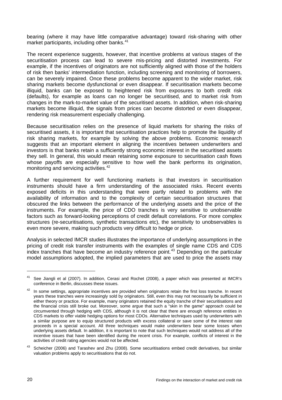bearing (where it may have little comparative advantage) toward risk-sharing with other market participants, including other banks.<sup>[41](#page-27-0)</sup>

The recent experience suggests, however, that incentive problems at various stages of the securitisation process can lead to severe mis-pricing and distorted investments. For example, if the incentives of originators are not sufficiently aligned with those of the holders of risk then banks' intermediation function, including screening and monitoring of borrowers, can be severely impaired. Once these problems become apparent to the wider market, risk sharing markets become dysfunctional or even disappear. If securitisation markets become illiquid, banks can be exposed to heightened risk from exposures to both credit risk (defaults), for example as loans can no longer be securitised, and to market risk from changes in the mark-to-market value of the securitised assets. In addition, when risk-sharing markets become illiquid, the signals from prices can become distorted or even disappear, rendering risk measurement especially challenging.

Because securitisation relies on the presence of liquid markets for sharing the risks of securitised assets, it is important that securitisation practices help to promote the liquidity of risk sharing markets, for example by solving the above problems. Economic research suggests that an important element in aligning the incentives between underwriters and investors is that banks retain a sufficiently strong economic interest in the securitised assets they sell. In general, this would mean retaining some exposure to securitisation cash flows whose payoffs are especially sensitive to how well the bank performs its origination, monitoring and servicing activities.<sup>[42](#page-27-1)</sup>

A further requirement for well functioning markets is that investors in securitisation instruments should have a firm understanding of the associated risks. Recent events exposed deficits in this understanding that were partly related to problems with the availability of information and to the complexity of certain securitisation structures that obscured the links between the performance of the underlying assets and the price of the instruments. For example, the price of CDO tranches is very sensitive to unobservable factors such as forward-looking perceptions of credit default correlations. For more complex structures (re-securitisations, synthetic transactions etc), the sensitivity to unobservables is even more severe, making such products very difficult to hedge or price.

Analysis in selected IMCR studies illustrates the importance of underlying assumptions in the pricing of credit risk transfer instruments with the examples of single name CDS and CDS  $\frac{1}{2}$  index tranches that have become an industry reference point.<sup>[43](#page-27-2)</sup> Depending on the particular model assumptions adopted, the implied parameters that are used to price the assets may

 $\overline{a}$ 

<span id="page-27-0"></span><sup>41</sup> See Jiangli et al (2007). In addition, Cerasi and Rochet (2008), a paper which was presented at IMCR's conference in Berlin, discusses these issues.

<span id="page-27-1"></span> $42$  In some settings, appropriate incentives are provided when originators retain the first loss tranche. In recent years these tranches were increasingly sold by originators. Still, even this may not necessarily be sufficient in either theory or practice. For example, many originators retained the equity tranche of their securitisations and the financial crisis still broke out. Moreover, some argue that such a "skin in the game" approach could be circumvented through hedging with CDS, although it is not clear that there are enough reference entities in CDS markets to offer viable hedging options for most CDOs. Alternative techniques used by underwriters with a similar purpose are to equip structured products with excess collateral or save some of the interest rate proceeds in a special account. All three techniques would make underwriters bear some losses when underlying assets default. In addition, it is important to note that such techniques would not address all of the incentive issues that have been identified during the recent crisis. For example, conflicts of interest in the activities of credit rating agencies would not be affected.

<span id="page-27-2"></span><sup>43</sup> Scheicher (2006) and Tarashev and Zhu (2008). Some securitisations embed credit derivatives, but similar valuation problems apply to securitisations that do not.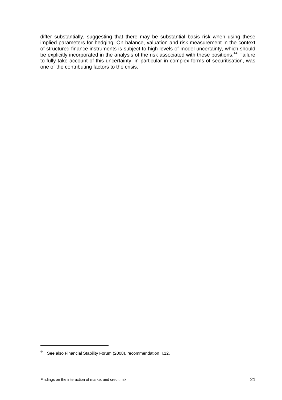differ substantially, suggesting that there may be substantial basis risk when using these implied parameters for hedging. On balance, valuation and risk measurement in the context of structured finance instruments is subject to high levels of model uncertainty, which should be explicitly incorporated in the analysis of the risk associated with these positions.<sup>[44](#page-28-0)</sup> Failure to fully take account of this uncertainty, in particular in complex forms of securitisation, was one of the contributing factors to the crisis.

<span id="page-28-0"></span><sup>44</sup> See also Financial Stability Forum (2008), recommendation II.12.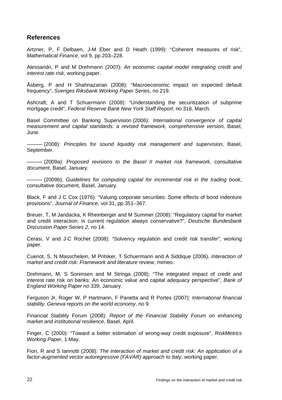# <span id="page-29-0"></span>**References**

Artzner, P, F Delbaen, J-M Eber and D Heath (1999): "Coherent measures of risk", *Mathematical Finance*, vol 9, pp 203–228.

Alessandri, P and M Drehmann (2007): *An economic capital model integrating credit and interest rate risk*, working paper.

Åsberg, P and H Shahnazarian (2008): "Macroeconomic impact on expected default frequency", *Sveriges Riksbank Working Paper Series*, no 219.

Ashcraft, A and T Schuermann (2008): "Understanding the securitization of subprime mortgage credit", *Federal Reserve Bank New York Staff Report*, no 318, March.

Basel Committee on Banking Supervision (2006): *[International convergence of capital](http://www.bis.org/publ/bcbs107.htm)  [measurement and capital standards: a revised framework](http://www.bis.org/publ/bcbs107.htm), comprehensive version,* Basel, June.

——— (2008): *Principles for sound liquidity risk management and supervision*, Basel, September.

——— (2009a): *Proposed revisions to the Basel II market risk framework*, consultative document, Basel, January.

——— (2009b), *Guidelines for computing capital for incremental risk in the trading book*, consultative document, Basel, January.

Black, F and J C Cox (1976): "Valuing corporate securities: Some effects of bond indenture provisions", *Journal of Finance*, vol 31, pp 351–367.

Breuer, T, M Jandacka, K Rheinberger and M Summer (2008): "Regulatory capital for market and credit interaction: is current regulation always conservative?", *Deutsche Bundesbank Discussion Paper Series 2*, no 14.

Cerasi, V and J-C Rochet (2008): "Solvency regulation and credit risk transfer", working paper.

Cuenot, S, N Masschelein, M Pritsker, T Schuermann and A Siddique (2006), *Interaction of market and credit risk: Framework and literature review*, mimeo.

Drehmann, M, S Sorensen and M Stringa (2008): "The integrated impact of credit and interest rate risk on banks: An economic value and capital adequacy perspective", *Bank of England Working Paper no 339*, January.

Ferguson Jr, Roger W, P Hartmann, F Panetta and R Portes (2007): *International financial stability, Geneva reports on the world economy*, no 9.

Financial Stability Forum (2008): *Report of the Financial Stability Forum on enhancing market and institutional resilience*, Basel, April.

Finger, C (2000): "Toward a better estimation of wrong-way credit exposure", *RiskMetrics Working Paper*, 1 May.

Fiori, R and S Iannotti (2008): *The interaction of market and credit risk: An application of a factor-augmented vector autoregressive (FAVAR) approach to Italy*, working paper.